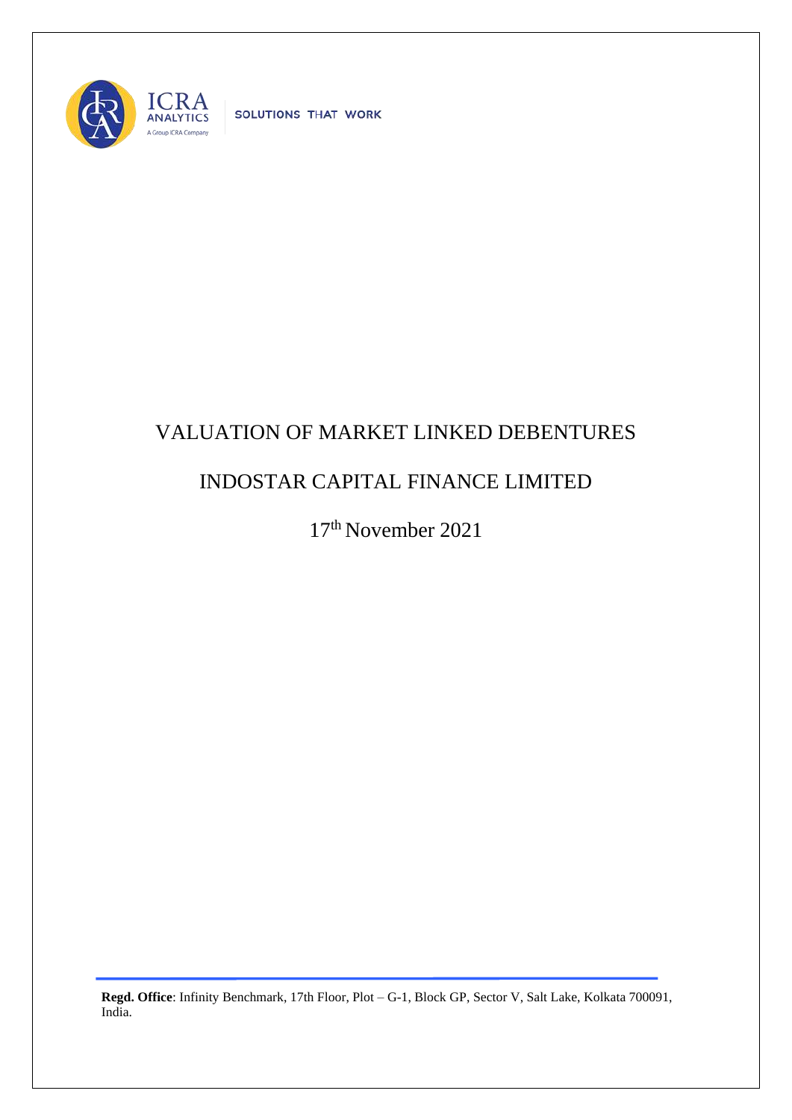

SOLUTIONS THAT WORK

## VALUATION OF MARKET LINKED DEBENTURES

## INDOSTAR CAPITAL FINANCE LIMITED

17 th November 2021

**Regd. Office**: Infinity Benchmark, 17th Floor, Plot – G-1, Block GP, Sector V, Salt Lake, Kolkata 700091, India.